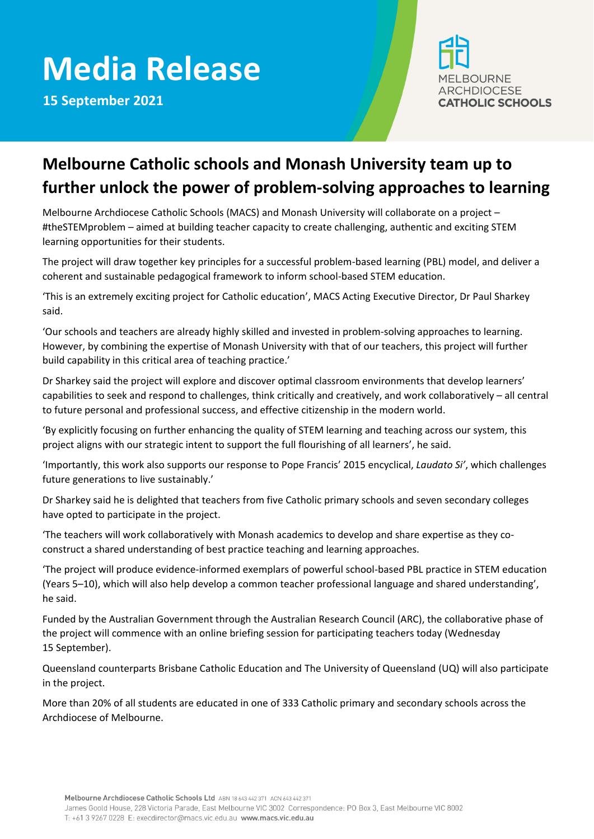## **Media Release**

**15 September 2021**



## **Melbourne Catholic schools and Monash University team up to further unlock the power of problem-solving approaches to learning**

Melbourne Archdiocese Catholic Schools (MACS) and Monash University will collaborate on a project – #theSTEMproblem – aimed at building teacher capacity to create challenging, authentic and exciting STEM learning opportunities for their students.

The project will draw together key principles for a successful problem-based learning (PBL) model, and deliver a coherent and sustainable pedagogical framework to inform school-based STEM education.

'This is an extremely exciting project for Catholic education', MACS Acting Executive Director, Dr Paul Sharkey said.

'Our schools and teachers are already highly skilled and invested in problem-solving approaches to learning. However, by combining the expertise of Monash University with that of our teachers, this project will further build capability in this critical area of teaching practice.'

Dr Sharkey said the project will explore and discover optimal classroom environments that develop learners' capabilities to seek and respond to challenges, think critically and creatively, and work collaboratively – all central to future personal and professional success, and effective citizenship in the modern world.

'By explicitly focusing on further enhancing the quality of STEM learning and teaching across our system, this project aligns with our strategic intent to support the full flourishing of all learners', he said.

'Importantly, this work also supports our response to Pope Francis' 2015 encyclical, *Laudato Si'*, which challenges future generations to live sustainably.'

Dr Sharkey said he is delighted that teachers from five Catholic primary schools and seven secondary colleges have opted to participate in the project.

'The teachers will work collaboratively with Monash academics to develop and share expertise as they coconstruct a shared understanding of best practice teaching and learning approaches.

'The project will produce evidence-informed exemplars of powerful school-based PBL practice in STEM education (Years 5–10), which will also help develop a common teacher professional language and shared understanding', he said.

Funded by the Australian Government through the Australian Research Council (ARC), the collaborative phase of the project will commence with an online briefing session for participating teachers today (Wednesday 15 September).

Queensland counterparts Brisbane Catholic Education and The University of Queensland (UQ) will also participate in the project.

More than 20% of all students are educated in one of 333 Catholic primary and secondary schools across the Archdiocese of Melbourne.